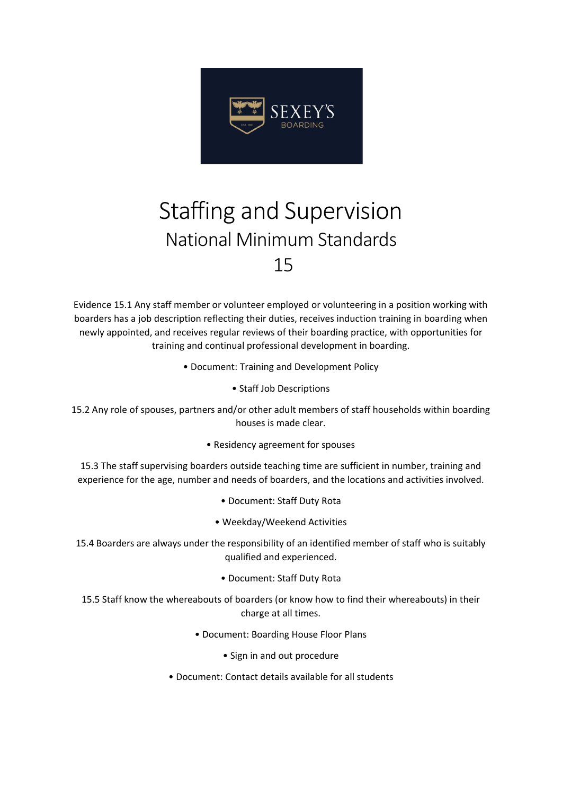

## Staffing and Supervision National Minimum Standards 15

Evidence 15.1 Any staff member or volunteer employed or volunteering in a position working with boarders has a job description reflecting their duties, receives induction training in boarding when newly appointed, and receives regular reviews of their boarding practice, with opportunities for training and continual professional development in boarding.

- Document: Training and Development Policy
	- Staff Job Descriptions
- 15.2 Any role of spouses, partners and/or other adult members of staff households within boarding houses is made clear.
	- Residency agreement for spouses

15.3 The staff supervising boarders outside teaching time are sufficient in number, training and experience for the age, number and needs of boarders, and the locations and activities involved.

- Document: Staff Duty Rota
- Weekday/Weekend Activities

15.4 Boarders are always under the responsibility of an identified member of staff who is suitably qualified and experienced.

• Document: Staff Duty Rota

15.5 Staff know the whereabouts of boarders (or know how to find their whereabouts) in their charge at all times.

- Document: Boarding House Floor Plans
	- Sign in and out procedure
- Document: Contact details available for all students